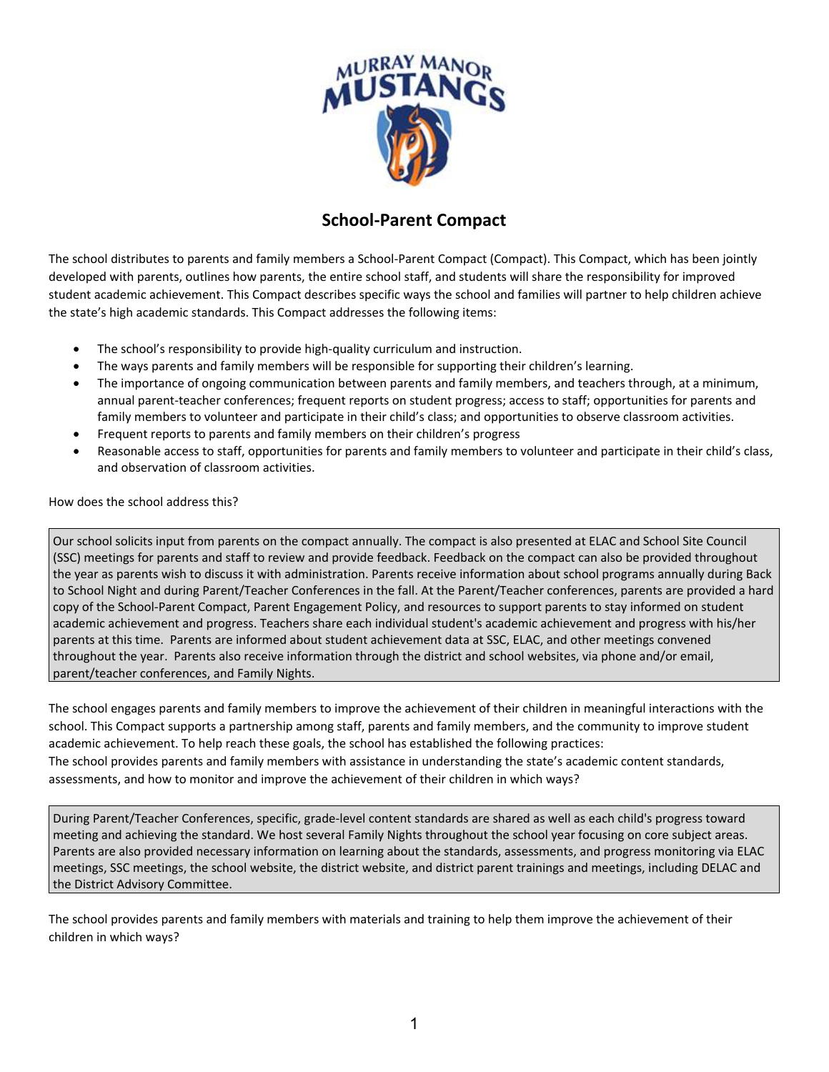

## **School-Parent Compact**

The school distributes to parents and family members a School-Parent Compact (Compact). This Compact, which has been jointly developed with parents, outlines how parents, the entire school staff, and students will share the responsibility for improved student academic achievement. This Compact describes specific ways the school and families will partner to help children achieve the state's high academic standards. This Compact addresses the following items:

- The school's responsibility to provide high-quality curriculum and instruction.
- The ways parents and family members will be responsible for supporting their children's learning.
- The importance of ongoing communication between parents and family members, and teachers through, at a minimum, annual parent-teacher conferences; frequent reports on student progress; access to staff; opportunities for parents and family members to volunteer and participate in their child's class; and opportunities to observe classroom activities.
- Frequent reports to parents and family members on their children's progress
- Reasonable access to staff, opportunities for parents and family members to volunteer and participate in their child's class, and observation of classroom activities.

How does the school address this?

Our school solicits input from parents on the compact annually. The compact is also presented at ELAC and School Site Council (SSC) meetings for parents and staff to review and provide feedback. Feedback on the compact can also be provided throughout the year as parents wish to discuss it with administration. Parents receive information about school programs annually during Back to School Night and during Parent/Teacher Conferences in the fall. At the Parent/Teacher conferences, parents are provided a hard copy of the School-Parent Compact, Parent Engagement Policy, and resources to support parents to stay informed on student academic achievement and progress. Teachers share each individual student's academic achievement and progress with his/her parents at this time. Parents are informed about student achievement data at SSC, ELAC, and other meetings convened throughout the year. Parents also receive information through the district and school websites, via phone and/or email, parent/teacher conferences, and Family Nights.

The school engages parents and family members to improve the achievement of their children in meaningful interactions with the school. This Compact supports a partnership among staff, parents and family members, and the community to improve student academic achievement. To help reach these goals, the school has established the following practices: The school provides parents and family members with assistance in understanding the state's academic content standards, assessments, and how to monitor and improve the achievement of their children in which ways?

During Parent/Teacher Conferences, specific, grade-level content standards are shared as well as each child's progress toward meeting and achieving the standard. We host several Family Nights throughout the school year focusing on core subject areas. Parents are also provided necessary information on learning about the standards, assessments, and progress monitoring via ELAC meetings, SSC meetings, the school website, the district website, and district parent trainings and meetings, including DELAC and the District Advisory Committee.

The school provides parents and family members with materials and training to help them improve the achievement of their children in which ways?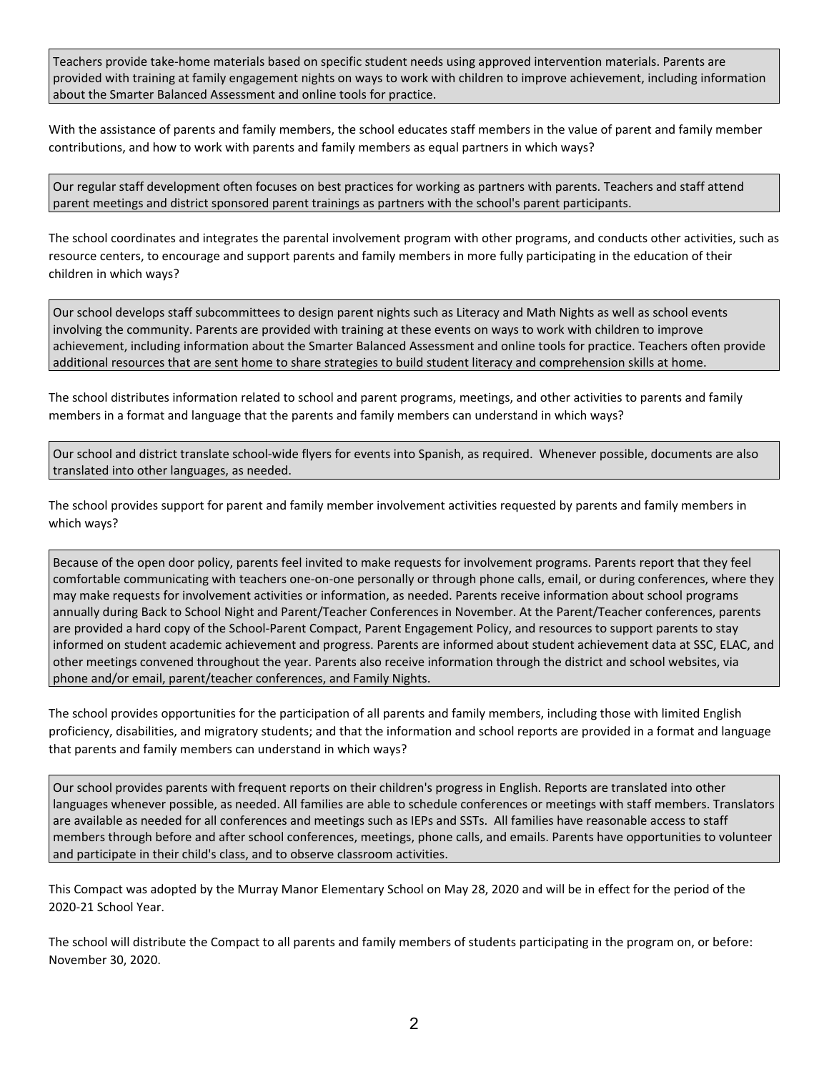Teachers provide take-home materials based on specific student needs using approved intervention materials. Parents are provided with training at family engagement nights on ways to work with children to improve achievement, including information about the Smarter Balanced Assessment and online tools for practice.

With the assistance of parents and family members, the school educates staff members in the value of parent and family member contributions, and how to work with parents and family members as equal partners in which ways?

Our regular staff development often focuses on best practices for working as partners with parents. Teachers and staff attend parent meetings and district sponsored parent trainings as partners with the school's parent participants.

The school coordinates and integrates the parental involvement program with other programs, and conducts other activities, such as resource centers, to encourage and support parents and family members in more fully participating in the education of their children in which ways?

Our school develops staff subcommittees to design parent nights such as Literacy and Math Nights as well as school events involving the community. Parents are provided with training at these events on ways to work with children to improve achievement, including information about the Smarter Balanced Assessment and online tools for practice. Teachers often provide additional resources that are sent home to share strategies to build student literacy and comprehension skills at home.

The school distributes information related to school and parent programs, meetings, and other activities to parents and family members in a format and language that the parents and family members can understand in which ways?

Our school and district translate school-wide flyers for events into Spanish, as required. Whenever possible, documents are also translated into other languages, as needed.

The school provides support for parent and family member involvement activities requested by parents and family members in which ways?

Because of the open door policy, parents feel invited to make requests for involvement programs. Parents report that they feel comfortable communicating with teachers one-on-one personally or through phone calls, email, or during conferences, where they may make requests for involvement activities or information, as needed. Parents receive information about school programs annually during Back to School Night and Parent/Teacher Conferences in November. At the Parent/Teacher conferences, parents are provided a hard copy of the School-Parent Compact, Parent Engagement Policy, and resources to support parents to stay informed on student academic achievement and progress. Parents are informed about student achievement data at SSC, ELAC, and other meetings convened throughout the year. Parents also receive information through the district and school websites, via phone and/or email, parent/teacher conferences, and Family Nights.

The school provides opportunities for the participation of all parents and family members, including those with limited English proficiency, disabilities, and migratory students; and that the information and school reports are provided in a format and language that parents and family members can understand in which ways?

Our school provides parents with frequent reports on their children's progress in English. Reports are translated into other languages whenever possible, as needed. All families are able to schedule conferences or meetings with staff members. Translators are available as needed for all conferences and meetings such as IEPs and SSTs. All families have reasonable access to staff members through before and after school conferences, meetings, phone calls, and emails. Parents have opportunities to volunteer and participate in their child's class, and to observe classroom activities.

This Compact was adopted by the Murray Manor Elementary School on May 28, 2020 and will be in effect for the period of the 2020-21 School Year.

The school will distribute the Compact to all parents and family members of students participating in the program on, or before: November 30, 2020.